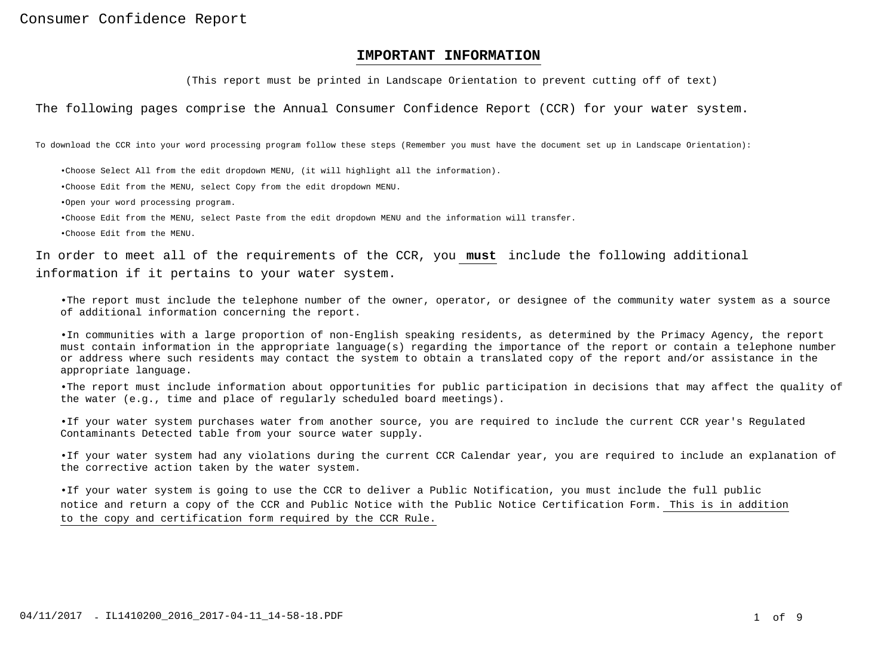# **IMPORTANT INFORMATION**

(This report must be printed in Landscape Orientation to prevent cutting off of text)

The following pages comprise the Annual Consumer Confidence Report (CCR) for your water system.

To download the CCR into your word processing program follow these steps (Remember you must have the document set up in Landscape Orientation):

- • Choose Select All from the edit dropdown MENU, (it will highlight all the information).
- • Choose Edit from the MENU, select Copy from the edit dropdown MENU.
- • Open your word processing program.
- • Choose Edit from the MENU, select Paste from the edit dropdown MENU and the information will transfer.
- • Choose Edit from the MENU.

In order to meet all of the requirements of the CCR, you **must** include the following additional information if it pertains to your water system.

• The report must include the telephone number of the owner, operator, or designee of the community water system as a sourceof additional information concerning the report.

• In communities with a large proportion of non-English speaking residents, as determined by the Primacy Agency, the report must contain information in the appropriate language(s) regarding the importance of the report or contain a telephone numberor address where such residents may contact the system to obtain a translated copy of the report and/or assistance in theappropriate language.

 • The report must include information about opportunities for public participation in decisions that may affect the quality ofthe water (e.g., time and place of regularly scheduled board meetings).

• If your water system purchases water from another source, you are required to include the current CCR year's RegulatedContaminants Detected table from your source water supply.

• If your water system had any violations during the current CCR Calendar year, you are required to include an explanation ofthe corrective action taken by the water system.

• If your water system is going to use the CCR to deliver a Public Notification, you must include the full public notice and return a copy of the CCR and Public Notice with the Public Notice Certification Form. This is in additionto the copy and certification form required by the CCR Rule.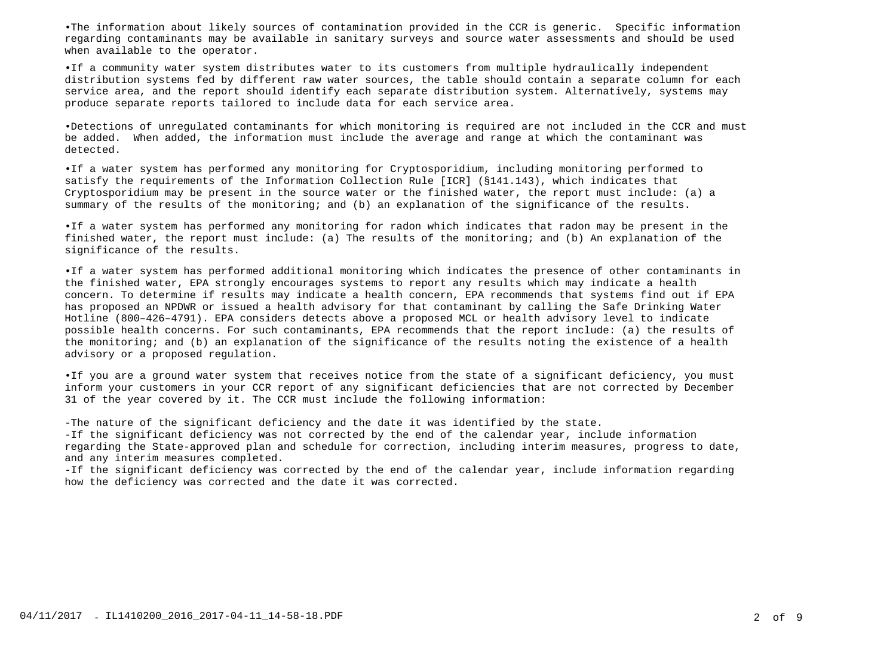• The information about likely sources of contamination provided in the CCR is generic. Specific informationregarding contaminants may be available in sanitary surveys and source water assessments and should be usedwhen available to the operator.

• If a community water system distributes water to its customers from multiple hydraulically independent distribution systems fed by different raw water sources, the table should contain a separate column for eachservice area, and the report should identify each separate distribution system. Alternatively, systems may produce separate reports tailored to include data for each service area.

• Detections of unregulated contaminants for which monitoring is required are not included in the CCR and mustbe added. When added, the information must include the average and range at which the contaminant wasdetected.

• If a water system has performed any monitoring for Cryptosporidium, including monitoring performed tosatisfy the requirements of the Information Collection Rule [ICR] (§141.143), which indicates that Cryptosporidium may be present in the source water or the finished water, the report must include: (a) asummary of the results of the monitoring; and (b) an explanation of the significance of the results.

• If a water system has performed any monitoring for radon which indicates that radon may be present in thefinished water, the report must include: (a) The results of the monitoring; and (b) An explanation of thesignificance of the results.

• If a water system has performed additional monitoring which indicates the presence of other contaminants inthe finished water, EPA strongly encourages systems to report any results which may indicate a health concern. To determine if results may indicate a health concern, EPA recommends that systems find out if EPAhas proposed an NPDWR or issued a health advisory for that contaminant by calling the Safe Drinking WaterHotline (800–426–4791). EPA considers detects above a proposed MCL or health advisory level to indicate possible health concerns. For such contaminants, EPA recommends that the report include: (a) the results of the monitoring; and (b) an explanation of the significance of the results noting the existence of a healthadvisory or a proposed regulation.

• If you are a ground water system that receives notice from the state of a significant deficiency, you must inform your customers in your CCR report of any significant deficiencies that are not corrected by December31 of the year covered by it. The CCR must include the following information:

- The nature of the significant deficiency and the date it was identified by the state.

- If the significant deficiency was not corrected by the end of the calendar year, include information regarding the State-approved plan and schedule for correction, including interim measures, progress to date,and any interim measures completed.

- If the significant deficiency was corrected by the end of the calendar year, include information regarding how the deficiency was corrected and the date it was corrected.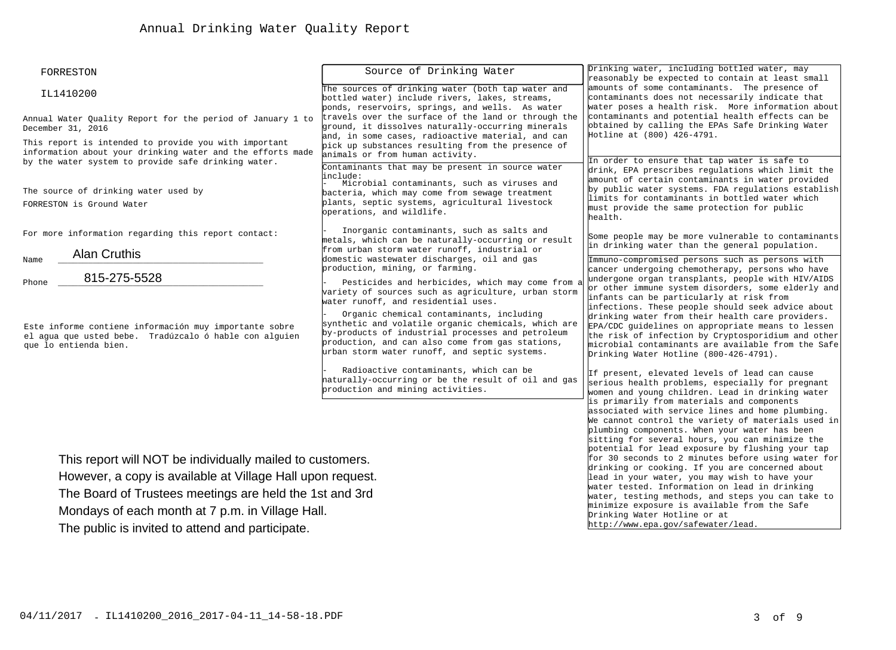| FORRESTON                                                                                                                                                                  | Source of Drinking Water                                                                                                                                                                                                                                                                                             | Drinking water, including bottled water, may<br>reasonably be expected to contain at least small<br>amounts of some contaminants. The presence of<br>contaminants does not necessarily indicate that<br>water poses a health risk. More information about<br>contaminants and potential health effects can be<br>obtained by calling the EPAs Safe Drinking Water<br>Hotline at (800) 426-4791. |  |
|----------------------------------------------------------------------------------------------------------------------------------------------------------------------------|----------------------------------------------------------------------------------------------------------------------------------------------------------------------------------------------------------------------------------------------------------------------------------------------------------------------|-------------------------------------------------------------------------------------------------------------------------------------------------------------------------------------------------------------------------------------------------------------------------------------------------------------------------------------------------------------------------------------------------|--|
| IL1410200                                                                                                                                                                  | The sources of drinking water (both tap water and<br>bottled water) include rivers, lakes, streams,<br>ponds, reservoirs, springs, and wells. As water                                                                                                                                                               |                                                                                                                                                                                                                                                                                                                                                                                                 |  |
| Annual Water Quality Report for the period of January 1 to<br>December 31, 2016                                                                                            | travels over the surface of the land or through the<br>ground, it dissolves naturally-occurring minerals<br>and, in some cases, radioactive material, and can                                                                                                                                                        |                                                                                                                                                                                                                                                                                                                                                                                                 |  |
| This report is intended to provide you with important<br>information about your drinking water and the efforts made<br>by the water system to provide safe drinking water. | pick up substances resulting from the presence of<br>animals or from human activity.<br>Contaminants that may be present in source water                                                                                                                                                                             | In order to ensure that tap water is safe to<br>drink, EPA prescribes regulations which limit the                                                                                                                                                                                                                                                                                               |  |
| The source of drinking water used by<br>FORRESTON is Ground Water                                                                                                          | include:<br>Microbial contaminants, such as viruses and<br>bacteria, which may come from sewage treatment<br>plants, septic systems, agricultural livestock<br>operations, and wildlife.                                                                                                                             | amount of certain contaminants in water provided<br>by public water systems. FDA regulations establish<br>limits for contaminants in bottled water which<br>must provide the same protection for public<br>health.                                                                                                                                                                              |  |
| For more information regarding this report contact:                                                                                                                        | Inorganic contaminants, such as salts and<br>metals, which can be naturally-occurring or result<br>from urban storm water runoff, industrial or                                                                                                                                                                      | Some people may be more vulnerable to contaminants<br>in drinking water than the general population.                                                                                                                                                                                                                                                                                            |  |
| <b>Alan Cruthis</b><br>Name<br>815-275-5528<br>Phone                                                                                                                       | domestic wastewater discharges, oil and gas<br>production, mining, or farming.<br>Pesticides and herbicides, which may come from a<br>variety of sources such as agriculture, urban storm                                                                                                                            | Immuno-compromised persons such as persons with<br>cancer undergoing chemotherapy, persons who have<br>undergone organ transplants, people with HIV/AIDS<br>or other immune system disorders, some elderly and<br>infants can be particularly at risk from                                                                                                                                      |  |
| Este informe contiene información muy importante sobre<br>el aqua que usted bebe. Tradúzcalo ó hable con alquien<br>que lo entienda bien.                                  | water runoff, and residential uses.<br>Organic chemical contaminants, including<br>synthetic and volatile organic chemicals, which are<br>by-products of industrial processes and petroleum<br>production, and can also come from gas stations,<br>urban storm water runoff, and septic systems.                     | infections. These people should seek advice about<br>drinking water from their health care providers.<br>EPA/CDC quidelines on appropriate means to lessen<br>the risk of infection by Cryptosporidium and other<br>microbial contaminants are available from the Safe<br>Drinking Water Hotline (800-426-4791).                                                                                |  |
|                                                                                                                                                                            | Radioactive contaminants, which can be<br>haturally-occurring or be the result of oil and gas<br>production and mining activities.                                                                                                                                                                                   | If present, elevated levels of lead can cause<br>serious health problems, especially for pregnant<br>women and young children. Lead in drinking water<br>is primarily from materials and components                                                                                                                                                                                             |  |
| This report will NOT be individually mailed to customers.                                                                                                                  | associated with service lines and home plumbing.<br>We cannot control the variety of materials used in<br>plumbing components. When your water has been<br>sitting for several hours, you can minimize the<br>potential for lead exposure by flushing your tap<br>for 30 seconds to 2 minutes before using water for |                                                                                                                                                                                                                                                                                                                                                                                                 |  |
| However, a copy is available at Village Hall upon request.                                                                                                                 | drinking or cooking. If you are concerned about<br>lead in your water, you may wish to have your                                                                                                                                                                                                                     |                                                                                                                                                                                                                                                                                                                                                                                                 |  |
| The Board of Trustees meetings are held the 1st and 3rd                                                                                                                    | water tested. Information on lead in drinking<br>water, testing methods, and steps you can take to                                                                                                                                                                                                                   |                                                                                                                                                                                                                                                                                                                                                                                                 |  |
| Mondays of each month at 7 p.m. in Village Hall.                                                                                                                           | minimize exposure is available from the Safe<br>Drinking Water Hotline or at                                                                                                                                                                                                                                         |                                                                                                                                                                                                                                                                                                                                                                                                 |  |
| The public is invited to attend and participate.                                                                                                                           | http://www.epa.gov/safewater/lead.                                                                                                                                                                                                                                                                                   |                                                                                                                                                                                                                                                                                                                                                                                                 |  |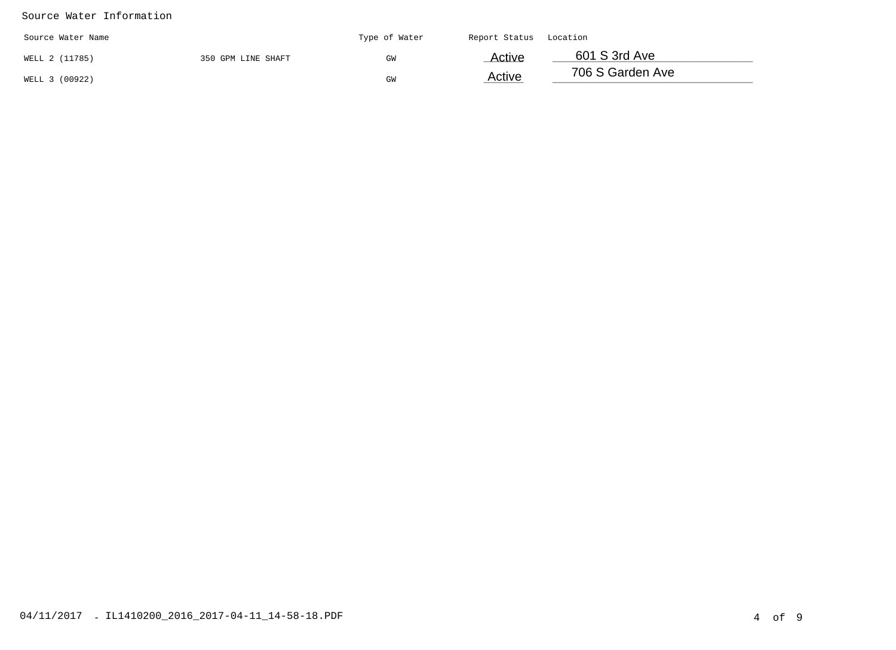# Source Water Information

| Source Water Name |                    | Type of Water | Report Status | Location         |
|-------------------|--------------------|---------------|---------------|------------------|
| WELL 2 (11785)    | 350 GPM LINE SHAFT | GW            | Active        | 601 S 3rd Ave    |
| WELL 3 (00922)    |                    | GW            | Active        | 706 S Garden Ave |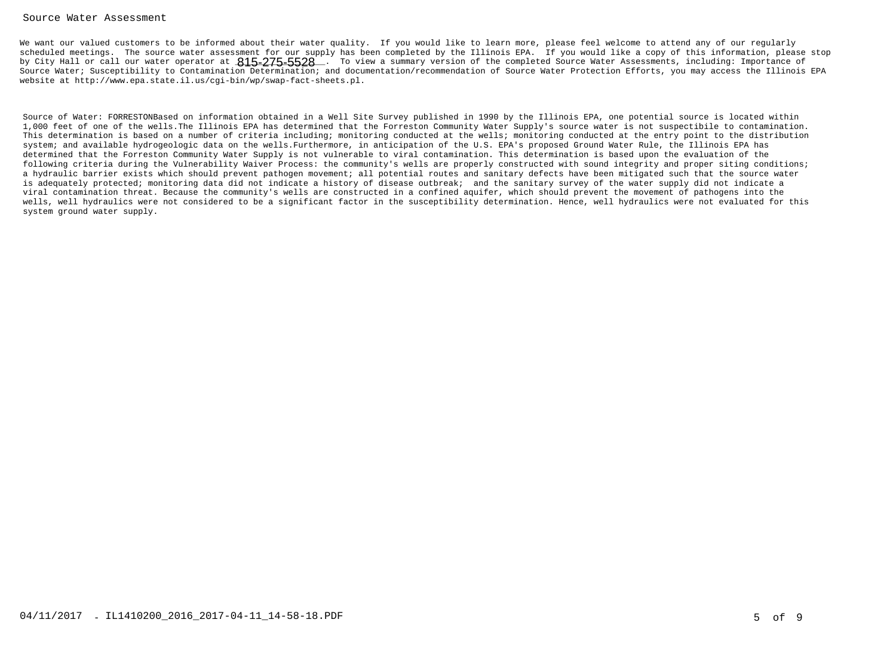### Source Water Assessment

We want our valued customers to be informed about their water quality. If you would like to learn more, please feel welcome to attend any of our regularly scheduled meetings. The source water assessment for our supply has been completed by the Illinois EPA. If you would like a copy of this information, please stopby City Hall or call our water operator at  $815$ - $275$ - $5528\_$ . To view a summary version of the completed Source Water Assessments, including: Importance of Source Water; Susceptibility to Contamination Determination; and documentation/recommendation of Source Water Protection Efforts, you may access the Illinois EPAwebsite at http://www.epa.state.il.us/cgi-bin/wp/swap-fact-sheets.pl.

Source of Water: FORRESTONBased on information obtained in a Well Site Survey published in 1990 by the Illinois EPA, one potential source is located within 1,000 feet of one of the wells.The Illinois EPA has determined that the Forreston Community Water Supply's source water is not suspectibile to contamination. This determination is based on a number of criteria including; monitoring conducted at the wells; monitoring conducted at the entry point to the distributionsystem; and available hydrogeologic data on the wells.Furthermore, in anticipation of the U.S. EPA's proposed Ground Water Rule, the Illinois EPA has determined that the Forreston Community Water Supply is not vulnerable to viral contamination. This determination is based upon the evaluation of the following criteria during the Vulnerability Waiver Process: the community's wells are properly constructed with sound integrity and proper siting conditions;a hydraulic barrier exists which should prevent pathogen movement; all potential routes and sanitary defects have been mitigated such that the source wateris adequately protected; monitoring data did not indicate a history of disease outbreak; and the sanitary survey of the water supply did not indicate a viral contamination threat. Because the community's wells are constructed in a confined aquifer, which should prevent the movement of pathogens into the wells, well hydraulics were not considered to be a significant factor in the susceptibility determination. Hence, well hydraulics were not evaluated for thissystem ground water supply.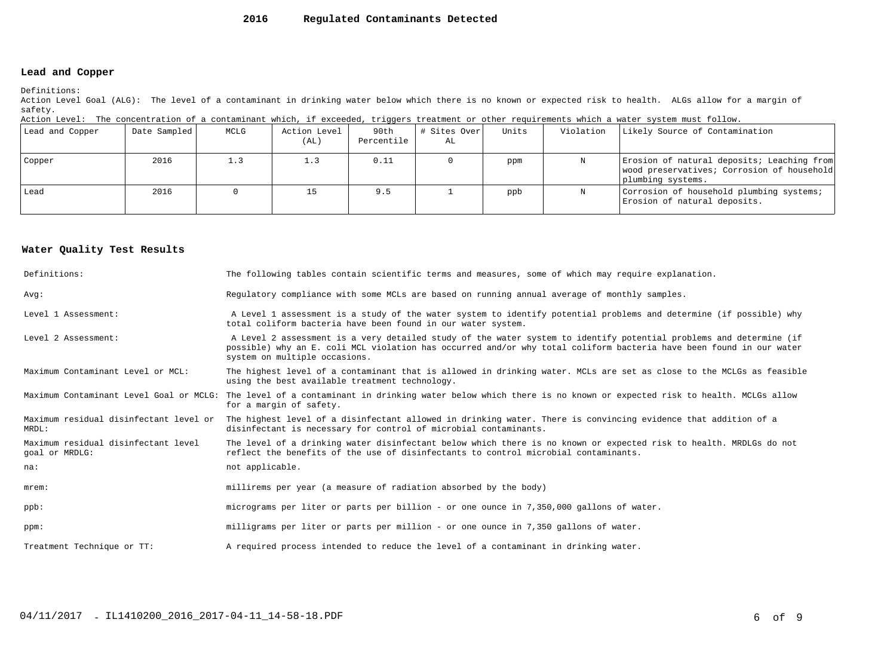#### **2016Regulated Contaminants Detected**

# **Lead and Copper**

Definitions:

 Action Level Goal (ALG): The level of a contaminant in drinking water below which there is no known or expected risk to health. ALGs allow for a margin ofsafety.

Action Level: The concentration of a contaminant which, if exceeded, triggers treatment or other requirements which a water system must follow.

| Lead and Copper | Date Sampled | MCLG | Action Level<br>(AL) | 90th<br>Percentile | # Sites Over<br>AL | Units | Violation | Likely Source of Contamination                                                                                |
|-----------------|--------------|------|----------------------|--------------------|--------------------|-------|-----------|---------------------------------------------------------------------------------------------------------------|
| Copper          | 2016         | 1.3  | 1.3                  | 0.11               |                    | ppm   |           | Erosion of natural deposits; Leaching from<br>wood preservatives; Corrosion of household<br>plumbing systems. |
| Lead            | 2016         |      | 15                   | 9.5                |                    | ppb   |           | Corrosion of household plumbing systems;<br>Erosion of natural deposits.                                      |

## **Water Quality Test Results**

| Definitions:                                          | The following tables contain scientific terms and measures, some of which may require explanation.                                                                                                                                                                         |
|-------------------------------------------------------|----------------------------------------------------------------------------------------------------------------------------------------------------------------------------------------------------------------------------------------------------------------------------|
| Avq:                                                  | Requlatory compliance with some MCLs are based on running annual average of monthly samples.                                                                                                                                                                               |
| Level 1 Assessment:                                   | A Level 1 assessment is a study of the water system to identify potential problems and determine (if possible) why<br>total coliform bacteria have been found in our water system.                                                                                         |
| Level 2 Assessment:                                   | A Level 2 assessment is a very detailed study of the water system to identify potential problems and determine (if<br>possible) why an E. coli MCL violation has occurred and/or why total coliform bacteria have been found in our water<br>system on multiple occasions. |
| Maximum Contaminant Level or MCL:                     | The highest level of a contaminant that is allowed in drinking water. MCLs are set as close to the MCLGs as feasible<br>using the best available treatment technology.                                                                                                     |
|                                                       | Maximum Contaminant Level Goal or MCLG: The level of a contaminant in drinking water below which there is no known or expected risk to health. MCLGs allow<br>for a margin of safety.                                                                                      |
| Maximum residual disinfectant level or<br>MRDL:       | The highest level of a disinfectant allowed in drinking water. There is convincing evidence that addition of a<br>disinfectant is necessary for control of microbial contaminants.                                                                                         |
| Maximum residual disinfectant level<br>goal or MRDLG: | The level of a drinking water disinfectant below which there is no known or expected risk to health. MRDLGs do not<br>reflect the benefits of the use of disinfectants to control microbial contaminants.                                                                  |
| na:                                                   | not applicable.                                                                                                                                                                                                                                                            |
| $m$ rem:                                              | millirems per year (a measure of radiation absorbed by the body)                                                                                                                                                                                                           |
| $ppb$ :                                               | micrograms per liter or parts per billion - or one ounce in 7,350,000 gallons of water.                                                                                                                                                                                    |
| ppm:                                                  | milligrams per liter or parts per million - or one ounce in 7,350 gallons of water.                                                                                                                                                                                        |
| Treatment Technique or TT:                            | A required process intended to reduce the level of a contaminant in drinking water.                                                                                                                                                                                        |